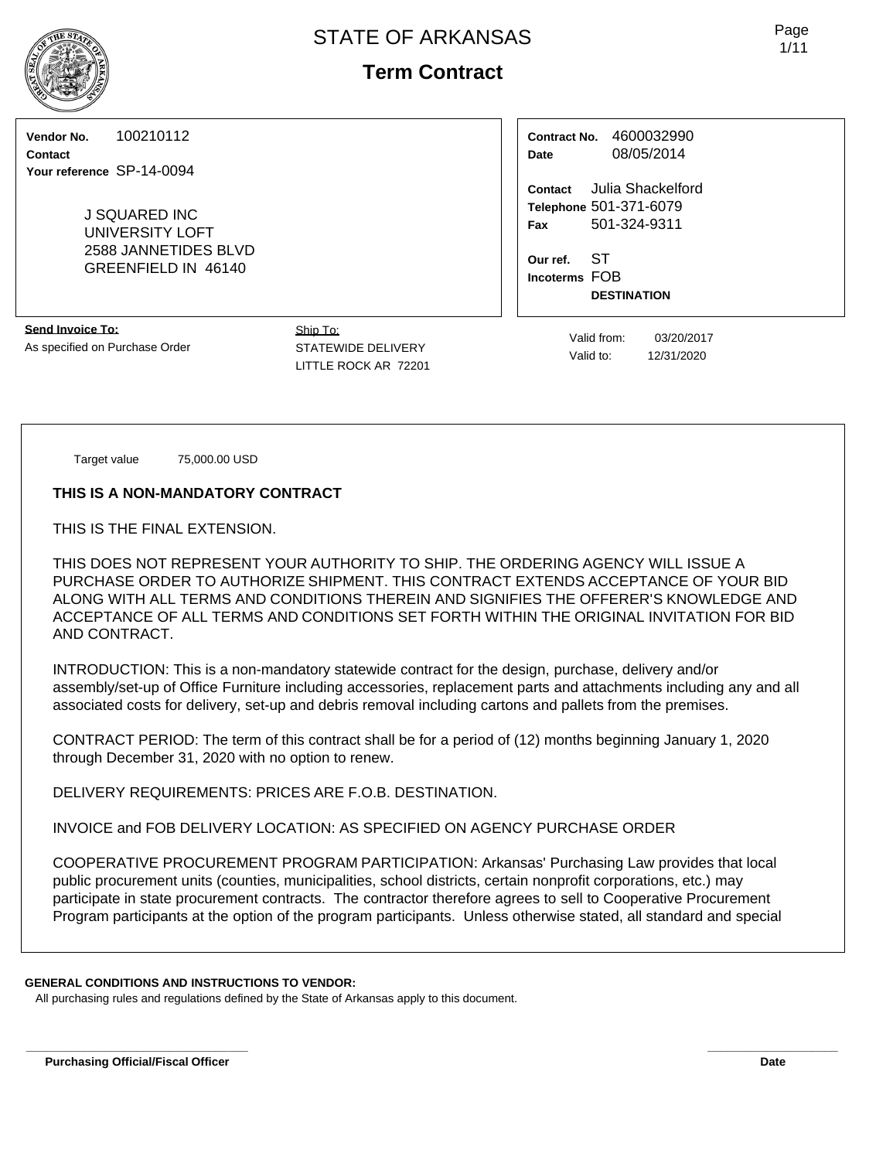# **Term Contract**

**Vendor No.** 100210112

**Contact Your reference** SP-14-0094

> J SQUARED INC UNIVERSITY LOFT 2588 JANNETIDES BLVD GREENFIELD IN 46140

**Contact** Julia Shackelford **Telephone** 501-371-6079 **Fax** 501-324-9311

> **Our ref.** ST **Incoterms** FOB **DESTINATION**

**Contract No.** 4600032990 **Date** 08/05/2014

**Send Invoice To:** As specified on Purchase Order

Ship To: STATEWIDE DELIVERY LITTLE ROCK AR 72201

Valid from: 03/20/2017 Valid to: 12/31/2020

Target value 75,000.00 USD

**THIS IS A NON-MANDATORY CONTRACT**

THIS IS THE FINAL EXTENSION.

THIS DOES NOT REPRESENT YOUR AUTHORITY TO SHIP. THE ORDERING AGENCY WILL ISSUE A PURCHASE ORDER TO AUTHORIZE SHIPMENT. THIS CONTRACT EXTENDS ACCEPTANCE OF YOUR BID ALONG WITH ALL TERMS AND CONDITIONS THEREIN AND SIGNIFIES THE OFFERER'S KNOWLEDGE AND ACCEPTANCE OF ALL TERMS AND CONDITIONS SET FORTH WITHIN THE ORIGINAL INVITATION FOR BID AND CONTRACT.

INTRODUCTION: This is a non-mandatory statewide contract for the design, purchase, delivery and/or assembly/set-up of Office Furniture including accessories, replacement parts and attachments including any and all associated costs for delivery, set-up and debris removal including cartons and pallets from the premises.

CONTRACT PERIOD: The term of this contract shall be for a period of (12) months beginning January 1, 2020 through December 31, 2020 with no option to renew.

DELIVERY REQUIREMENTS: PRICES ARE F.O.B. DESTINATION.

INVOICE and FOB DELIVERY LOCATION: AS SPECIFIED ON AGENCY PURCHASE ORDER

COOPERATIVE PROCUREMENT PROGRAM PARTICIPATION: Arkansas' Purchasing Law provides that local public procurement units (counties, municipalities, school districts, certain nonprofit corporations, etc.) may participate in state procurement contracts. The contractor therefore agrees to sell to Cooperative Procurement Program participants at the option of the program participants. Unless otherwise stated, all standard and special

### **GENERAL CONDITIONS AND INSTRUCTIONS TO VENDOR:**

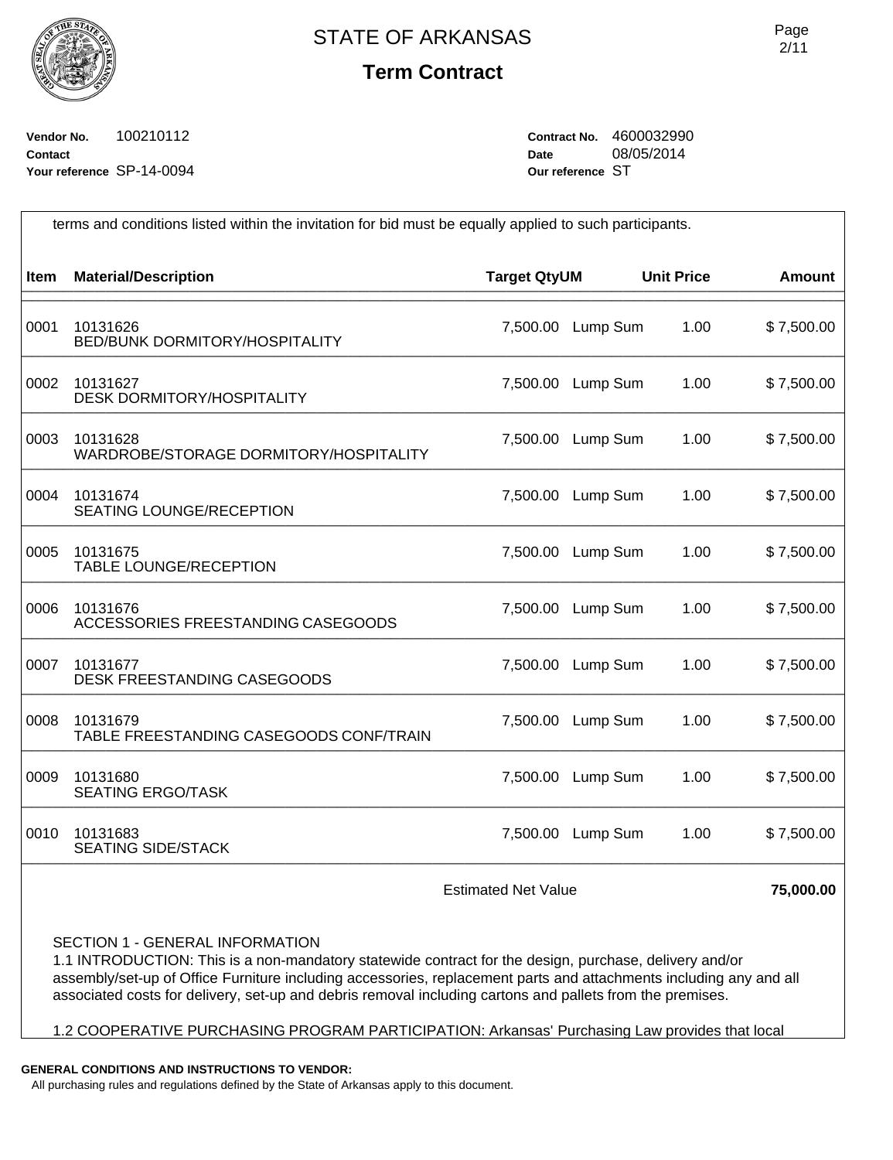

## **Term Contract**

Page 2/11

**Vendor No.** 100210112 **Contact Your reference** SP-14-0094 **Contract No.** 4600032990 **Date** 08/05/2014 **Our reference** ST

| terms and conditions listed within the invitation for bid must be equally applied to such participants. |                                                     |                     |          |                   |               |
|---------------------------------------------------------------------------------------------------------|-----------------------------------------------------|---------------------|----------|-------------------|---------------|
| <b>Item</b>                                                                                             | <b>Material/Description</b>                         | <b>Target QtyUM</b> |          | <b>Unit Price</b> | <b>Amount</b> |
| 0001                                                                                                    | 10131626<br><b>BED/BUNK DORMITORY/HOSPITALITY</b>   | 7,500.00            | Lump Sum | 1.00              | \$7,500.00    |
| 0002                                                                                                    | 10131627<br><b>DESK DORMITORY/HOSPITALITY</b>       | 7,500.00            | Lump Sum | 1.00              | \$7,500.00    |
| 0003                                                                                                    | 10131628<br>WARDROBE/STORAGE DORMITORY/HOSPITALITY  | 7,500.00            | Lump Sum | 1.00              | \$7,500.00    |
| 0004                                                                                                    | 10131674<br><b>SEATING LOUNGE/RECEPTION</b>         | 7,500.00            | Lump Sum | 1.00              | \$7,500.00    |
| 0005                                                                                                    | 10131675<br><b>TABLE LOUNGE/RECEPTION</b>           | 7,500.00            | Lump Sum | 1.00              | \$7,500.00    |
| 0006                                                                                                    | 10131676<br>ACCESSORIES FREESTANDING CASEGOODS      | 7,500.00            | Lump Sum | 1.00              | \$7,500.00    |
| 0007                                                                                                    | 10131677<br>DESK FREESTANDING CASEGOODS             | 7,500.00            | Lump Sum | 1.00              | \$7,500.00    |
| 0008                                                                                                    | 10131679<br>TABLE FREESTANDING CASEGOODS CONF/TRAIN | 7,500.00            | Lump Sum | 1.00              | \$7,500.00    |
| 0009                                                                                                    | 10131680<br><b>SEATING ERGO/TASK</b>                | 7,500.00            | Lump Sum | 1.00              | \$7,500.00    |
| 0010                                                                                                    | 10131683<br><b>SEATING SIDE/STACK</b>               | 7,500.00            | Lump Sum | 1.00              | \$7,500.00    |
|                                                                                                         | <b>Estimated Net Value</b>                          |                     |          |                   | 75,000.00     |

SECTION 1 - GENERAL INFORMATION

1.1 INTRODUCTION: This is a non-mandatory statewide contract for the design, purchase, delivery and/or assembly/set-up of Office Furniture including accessories, replacement parts and attachments including any and all associated costs for delivery, set-up and debris removal including cartons and pallets from the premises.

1.2 COOPERATIVE PURCHASING PROGRAM PARTICIPATION: Arkansas' Purchasing Law provides that local

**GENERAL CONDITIONS AND INSTRUCTIONS TO VENDOR:**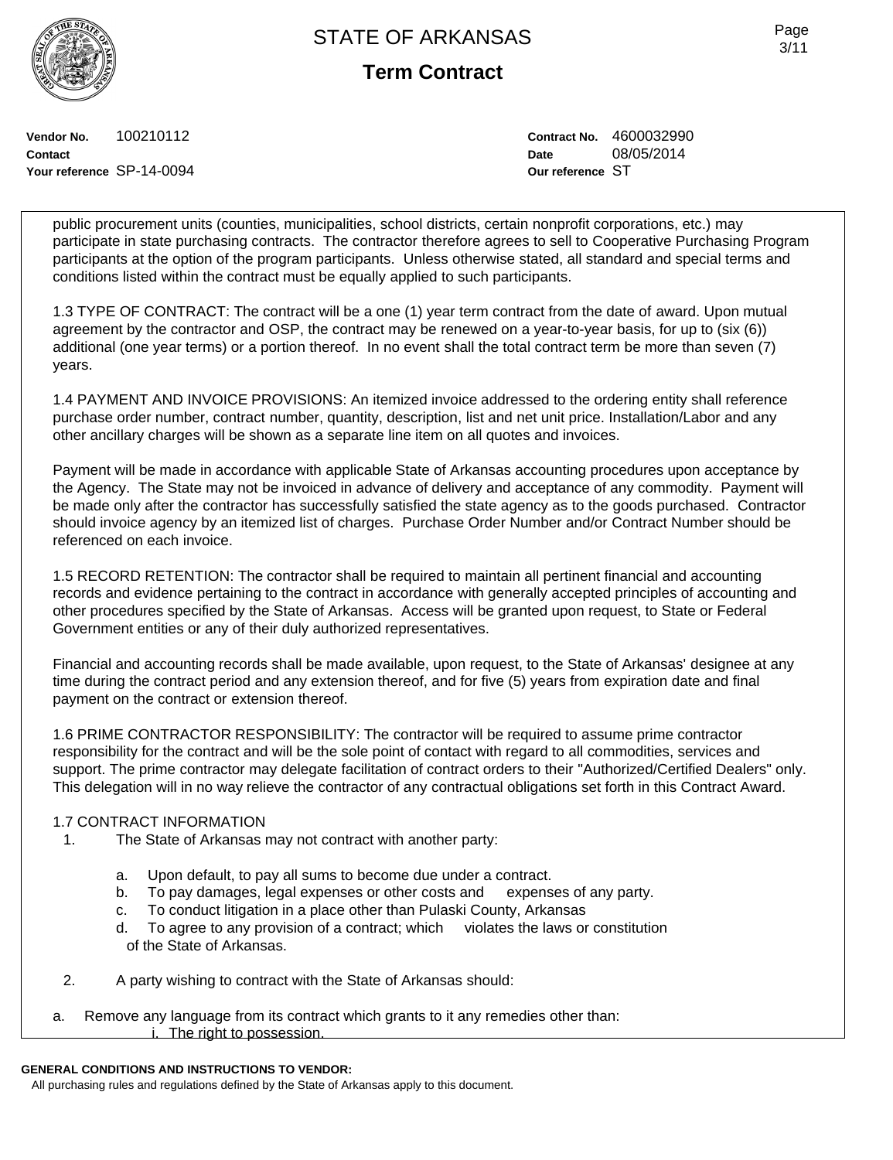**Term Contract**

**Vendor No.** 100210112 **Contact Your reference** SP-14-0094 **Contract No.** 4600032990 **Date** 08/05/2014 **Our reference** ST

public procurement units (counties, municipalities, school districts, certain nonprofit corporations, etc.) may participate in state purchasing contracts. The contractor therefore agrees to sell to Cooperative Purchasing Program participants at the option of the program participants. Unless otherwise stated, all standard and special terms and conditions listed within the contract must be equally applied to such participants.

1.3 TYPE OF CONTRACT: The contract will be a one (1) year term contract from the date of award. Upon mutual agreement by the contractor and OSP, the contract may be renewed on a year-to-year basis, for up to (six (6)) additional (one year terms) or a portion thereof. In no event shall the total contract term be more than seven (7) years.

1.4 PAYMENT AND INVOICE PROVISIONS: An itemized invoice addressed to the ordering entity shall reference purchase order number, contract number, quantity, description, list and net unit price. Installation/Labor and any other ancillary charges will be shown as a separate line item on all quotes and invoices.

Payment will be made in accordance with applicable State of Arkansas accounting procedures upon acceptance by the Agency. The State may not be invoiced in advance of delivery and acceptance of any commodity. Payment will be made only after the contractor has successfully satisfied the state agency as to the goods purchased. Contractor should invoice agency by an itemized list of charges. Purchase Order Number and/or Contract Number should be referenced on each invoice.

1.5 RECORD RETENTION: The contractor shall be required to maintain all pertinent financial and accounting records and evidence pertaining to the contract in accordance with generally accepted principles of accounting and other procedures specified by the State of Arkansas. Access will be granted upon request, to State or Federal Government entities or any of their duly authorized representatives.

Financial and accounting records shall be made available, upon request, to the State of Arkansas' designee at any time during the contract period and any extension thereof, and for five (5) years from expiration date and final payment on the contract or extension thereof.

1.6 PRIME CONTRACTOR RESPONSIBILITY: The contractor will be required to assume prime contractor responsibility for the contract and will be the sole point of contact with regard to all commodities, services and support. The prime contractor may delegate facilitation of contract orders to their "Authorized/Certified Dealers" only. This delegation will in no way relieve the contractor of any contractual obligations set forth in this Contract Award.

### 1.7 CONTRACT INFORMATION

- 1. The State of Arkansas may not contract with another party:
	- a. Upon default, to pay all sums to become due under a contract.
	- b. To pay damages, legal expenses or other costs and expenses of any party.
	- c. To conduct litigation in a place other than Pulaski County, Arkansas
	- d. To agree to any provision of a contract; which violates the laws or constitution of the State of Arkansas.
- 2. A party wishing to contract with the State of Arkansas should:
- a. Remove any language from its contract which grants to it any remedies other than: i. The right to possession.

### **GENERAL CONDITIONS AND INSTRUCTIONS TO VENDOR:**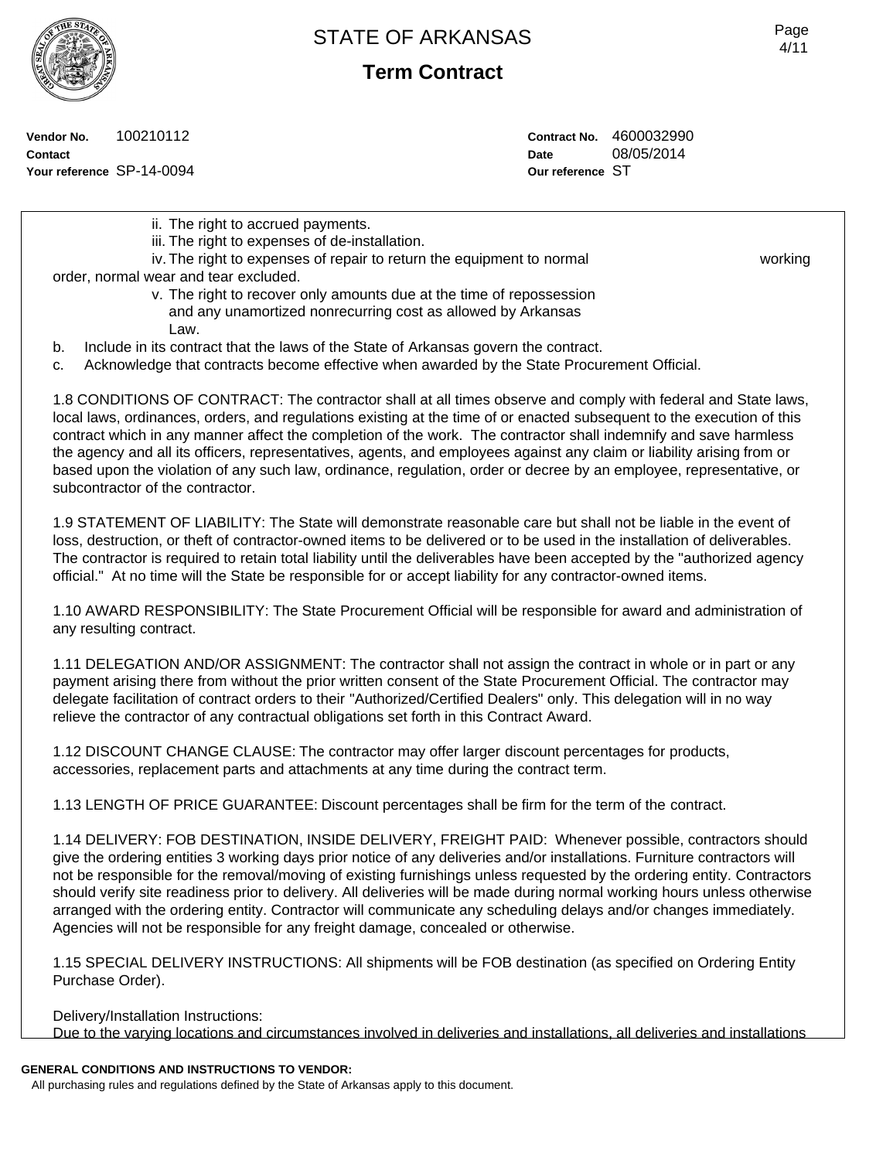**Term Contract**

**Vendor No.** 100210112 **Contact**

**Your reference** SP-14-0094

**Contract No.** 4600032990 **Date** 08/05/2014 **Our reference** ST

ii. The right to accrued payments. iii. The right to expenses of de-installation. iv. The right to expenses of repair to return the equipment to normal working order, normal wear and tear excluded. v. The right to recover only amounts due at the time of repossession and any unamortized nonrecurring cost as allowed by Arkansas Law. b. Include in its contract that the laws of the State of Arkansas govern the contract. c. Acknowledge that contracts become effective when awarded by the State Procurement Official. 1.8 CONDITIONS OF CONTRACT: The contractor shall at all times observe and comply with federal and State laws, local laws, ordinances, orders, and regulations existing at the time of or enacted subsequent to the execution of this contract which in any manner affect the completion of the work. The contractor shall indemnify and save harmless the agency and all its officers, representatives, agents, and employees against any claim or liability arising from or based upon the violation of any such law, ordinance, regulation, order or decree by an employee, representative, or subcontractor of the contractor. 1.9 STATEMENT OF LIABILITY: The State will demonstrate reasonable care but shall not be liable in the event of loss, destruction, or theft of contractor-owned items to be delivered or to be used in the installation of deliverables.

The contractor is required to retain total liability until the deliverables have been accepted by the "authorized agency official." At no time will the State be responsible for or accept liability for any contractor-owned items.

1.10 AWARD RESPONSIBILITY: The State Procurement Official will be responsible for award and administration of any resulting contract.

1.11 DELEGATION AND/OR ASSIGNMENT: The contractor shall not assign the contract in whole or in part or any payment arising there from without the prior written consent of the State Procurement Official. The contractor may delegate facilitation of contract orders to their "Authorized/Certified Dealers" only. This delegation will in no way relieve the contractor of any contractual obligations set forth in this Contract Award.

1.12 DISCOUNT CHANGE CLAUSE: The contractor may offer larger discount percentages for products, accessories, replacement parts and attachments at any time during the contract term.

1.13 LENGTH OF PRICE GUARANTEE: Discount percentages shall be firm for the term of the contract.

1.14 DELIVERY: FOB DESTINATION, INSIDE DELIVERY, FREIGHT PAID: Whenever possible, contractors should give the ordering entities 3 working days prior notice of any deliveries and/or installations. Furniture contractors will not be responsible for the removal/moving of existing furnishings unless requested by the ordering entity. Contractors should verify site readiness prior to delivery. All deliveries will be made during normal working hours unless otherwise arranged with the ordering entity. Contractor will communicate any scheduling delays and/or changes immediately. Agencies will not be responsible for any freight damage, concealed or otherwise.

1.15 SPECIAL DELIVERY INSTRUCTIONS: All shipments will be FOB destination (as specified on Ordering Entity Purchase Order).

Delivery/Installation Instructions:

Due to the varying locations and circumstances involved in deliveries and installations, all deliveries and installations

## **GENERAL CONDITIONS AND INSTRUCTIONS TO VENDOR:**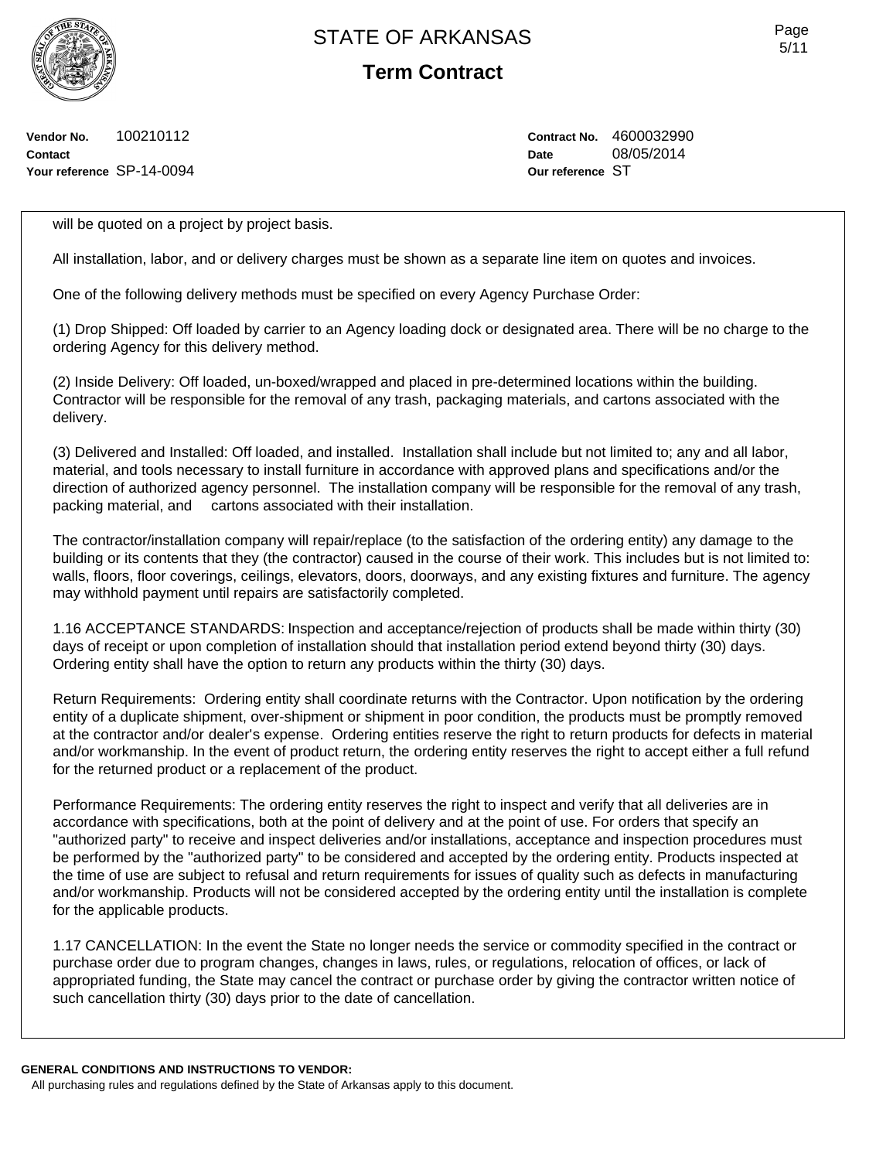**Term Contract**

**Vendor No.** 100210112 **Contact Your reference** SP-14-0094 **Contract No.** 4600032990 **Date** 08/05/2014 **Our reference** ST

will be quoted on a project by project basis.

All installation, labor, and or delivery charges must be shown as a separate line item on quotes and invoices.

One of the following delivery methods must be specified on every Agency Purchase Order:

(1) Drop Shipped: Off loaded by carrier to an Agency loading dock or designated area. There will be no charge to the ordering Agency for this delivery method.

(2) Inside Delivery: Off loaded, un-boxed/wrapped and placed in pre-determined locations within the building. Contractor will be responsible for the removal of any trash, packaging materials, and cartons associated with the delivery.

(3) Delivered and Installed: Off loaded, and installed. Installation shall include but not limited to; any and all labor, material, and tools necessary to install furniture in accordance with approved plans and specifications and/or the direction of authorized agency personnel. The installation company will be responsible for the removal of any trash, packing material, and cartons associated with their installation.

The contractor/installation company will repair/replace (to the satisfaction of the ordering entity) any damage to the building or its contents that they (the contractor) caused in the course of their work. This includes but is not limited to: walls, floors, floor coverings, ceilings, elevators, doors, doorways, and any existing fixtures and furniture. The agency may withhold payment until repairs are satisfactorily completed.

1.16 ACCEPTANCE STANDARDS: Inspection and acceptance/rejection of products shall be made within thirty (30) days of receipt or upon completion of installation should that installation period extend beyond thirty (30) days. Ordering entity shall have the option to return any products within the thirty (30) days.

Return Requirements: Ordering entity shall coordinate returns with the Contractor. Upon notification by the ordering entity of a duplicate shipment, over-shipment or shipment in poor condition, the products must be promptly removed at the contractor and/or dealer's expense. Ordering entities reserve the right to return products for defects in material and/or workmanship. In the event of product return, the ordering entity reserves the right to accept either a full refund for the returned product or a replacement of the product.

Performance Requirements: The ordering entity reserves the right to inspect and verify that all deliveries are in accordance with specifications, both at the point of delivery and at the point of use. For orders that specify an "authorized party" to receive and inspect deliveries and/or installations, acceptance and inspection procedures must be performed by the "authorized party" to be considered and accepted by the ordering entity. Products inspected at the time of use are subject to refusal and return requirements for issues of quality such as defects in manufacturing and/or workmanship. Products will not be considered accepted by the ordering entity until the installation is complete for the applicable products.

1.17 CANCELLATION: In the event the State no longer needs the service or commodity specified in the contract or purchase order due to program changes, changes in laws, rules, or regulations, relocation of offices, or lack of appropriated funding, the State may cancel the contract or purchase order by giving the contractor written notice of such cancellation thirty (30) days prior to the date of cancellation.

**GENERAL CONDITIONS AND INSTRUCTIONS TO VENDOR:** All purchasing rules and regulations defined by the State of Arkansas apply to this document.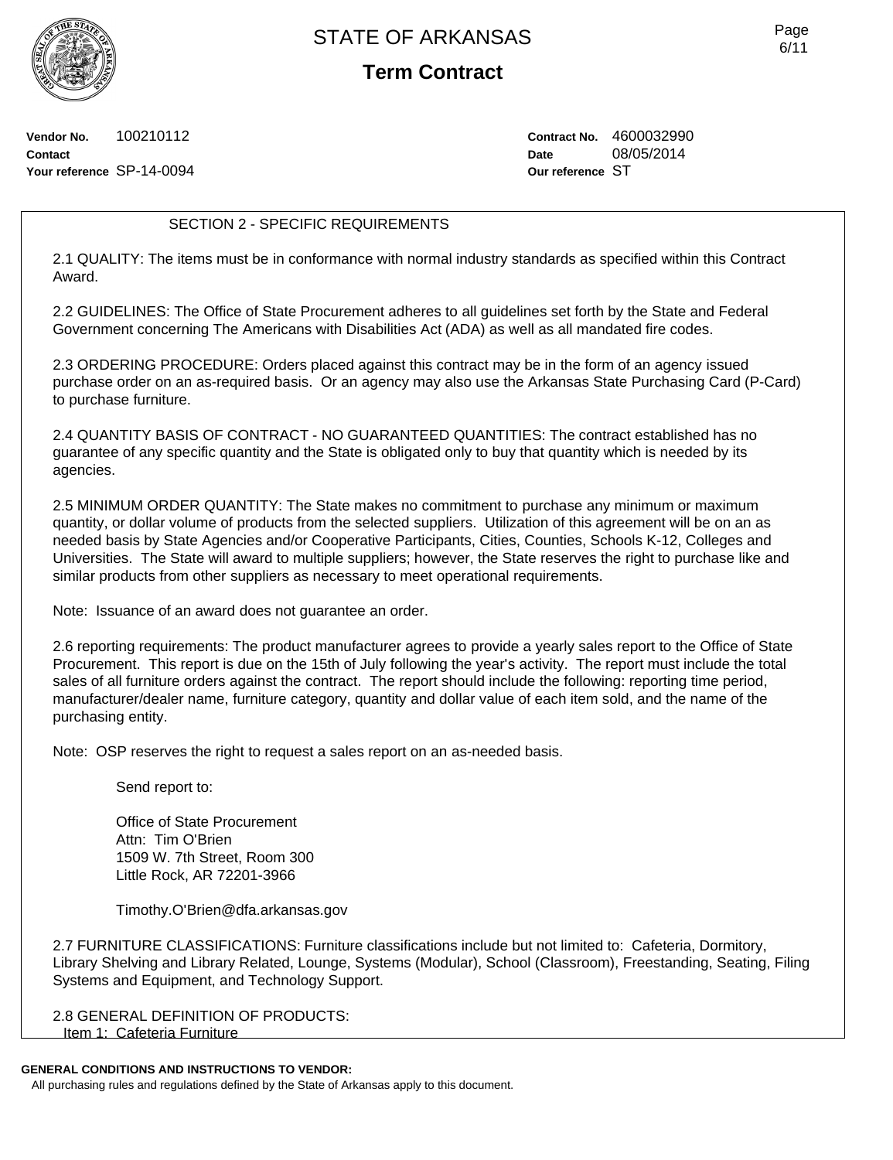**Term Contract**

**Vendor No.** 100210112 **Contact Your reference** SP-14-0094 **Contract No.** 4600032990 **Date** 08/05/2014 **Our reference** ST

### SECTION 2 - SPECIFIC REQUIREMENTS

2.1 QUALITY: The items must be in conformance with normal industry standards as specified within this Contract Award.

2.2 GUIDELINES: The Office of State Procurement adheres to all guidelines set forth by the State and Federal Government concerning The Americans with Disabilities Act (ADA) as well as all mandated fire codes.

2.3 ORDERING PROCEDURE: Orders placed against this contract may be in the form of an agency issued purchase order on an as-required basis. Or an agency may also use the Arkansas State Purchasing Card (P-Card) to purchase furniture.

2.4 QUANTITY BASIS OF CONTRACT - NO GUARANTEED QUANTITIES: The contract established has no guarantee of any specific quantity and the State is obligated only to buy that quantity which is needed by its agencies.

2.5 MINIMUM ORDER QUANTITY: The State makes no commitment to purchase any minimum or maximum quantity, or dollar volume of products from the selected suppliers. Utilization of this agreement will be on an as needed basis by State Agencies and/or Cooperative Participants, Cities, Counties, Schools K-12, Colleges and Universities. The State will award to multiple suppliers; however, the State reserves the right to purchase like and similar products from other suppliers as necessary to meet operational requirements.

Note: Issuance of an award does not guarantee an order.

2.6 reporting requirements: The product manufacturer agrees to provide a yearly sales report to the Office of State Procurement. This report is due on the 15th of July following the year's activity. The report must include the total sales of all furniture orders against the contract. The report should include the following: reporting time period, manufacturer/dealer name, furniture category, quantity and dollar value of each item sold, and the name of the purchasing entity.

Note: OSP reserves the right to request a sales report on an as-needed basis.

Send report to:

Office of State Procurement Attn: Tim O'Brien 1509 W. 7th Street, Room 300 Little Rock, AR 72201-3966

Timothy.O'Brien@dfa.arkansas.gov

2.7 FURNITURE CLASSIFICATIONS: Furniture classifications include but not limited to: Cafeteria, Dormitory, Library Shelving and Library Related, Lounge, Systems (Modular), School (Classroom), Freestanding, Seating, Filing Systems and Equipment, and Technology Support.

2.8 GENERAL DEFINITION OF PRODUCTS: Item 1: Cafeteria Furniture

### **GENERAL CONDITIONS AND INSTRUCTIONS TO VENDOR:**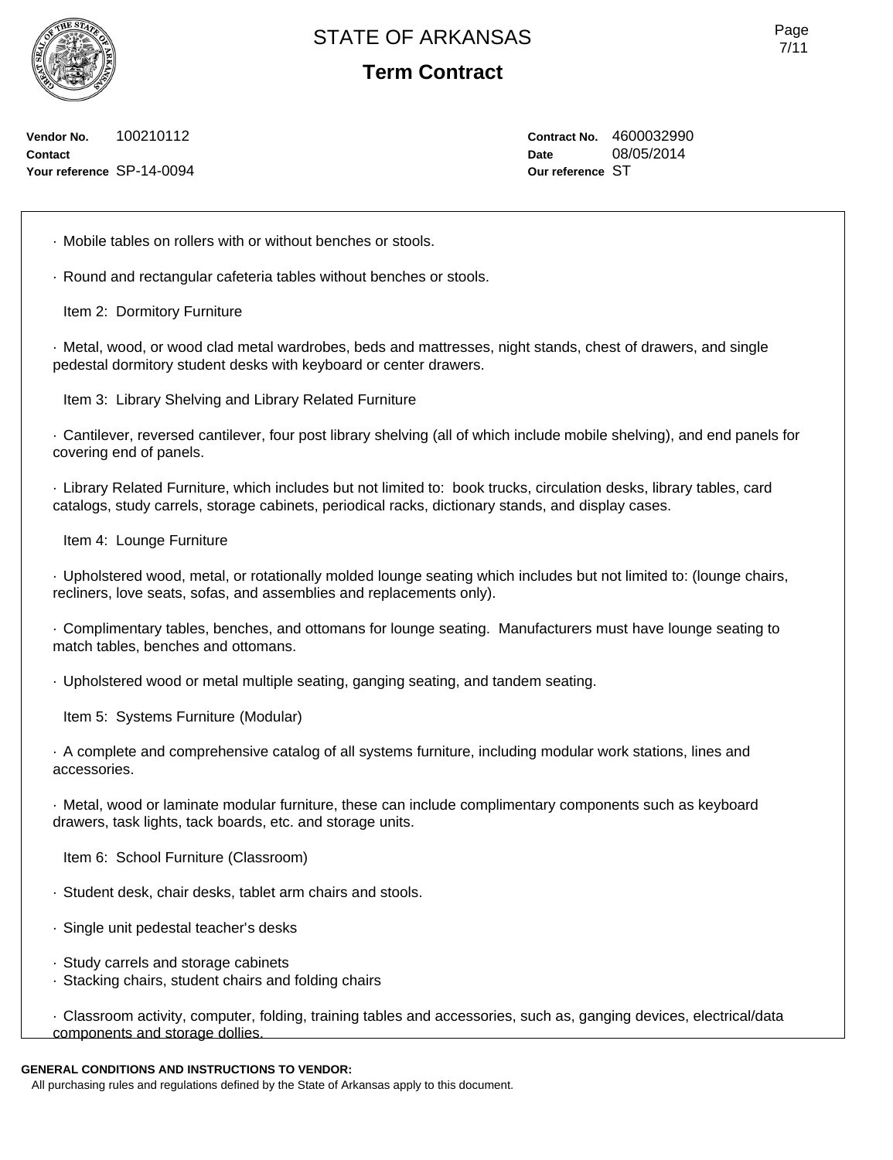**Term Contract**

**Vendor No.** 100210112 **Contact Your reference** SP-14-0094 **Contract No.** 4600032990 **Date** 08/05/2014 **Our reference** ST

· Mobile tables on rollers with or without benches or stools.

· Round and rectangular cafeteria tables without benches or stools.

Item 2: Dormitory Furniture

· Metal, wood, or wood clad metal wardrobes, beds and mattresses, night stands, chest of drawers, and single pedestal dormitory student desks with keyboard or center drawers.

Item 3: Library Shelving and Library Related Furniture

· Cantilever, reversed cantilever, four post library shelving (all of which include mobile shelving), and end panels for covering end of panels.

· Library Related Furniture, which includes but not limited to: book trucks, circulation desks, library tables, card catalogs, study carrels, storage cabinets, periodical racks, dictionary stands, and display cases.

Item 4: Lounge Furniture

· Upholstered wood, metal, or rotationally molded lounge seating which includes but not limited to: (lounge chairs, recliners, love seats, sofas, and assemblies and replacements only).

· Complimentary tables, benches, and ottomans for lounge seating. Manufacturers must have lounge seating to match tables, benches and ottomans.

· Upholstered wood or metal multiple seating, ganging seating, and tandem seating.

Item 5: Systems Furniture (Modular)

· A complete and comprehensive catalog of all systems furniture, including modular work stations, lines and accessories.

· Metal, wood or laminate modular furniture, these can include complimentary components such as keyboard drawers, task lights, tack boards, etc. and storage units.

Item 6: School Furniture (Classroom)

· Student desk, chair desks, tablet arm chairs and stools.

- · Single unit pedestal teacher's desks
- · Study carrels and storage cabinets
- · Stacking chairs, student chairs and folding chairs

· Classroom activity, computer, folding, training tables and accessories, such as, ganging devices, electrical/data components and storage dollies.

### **GENERAL CONDITIONS AND INSTRUCTIONS TO VENDOR:**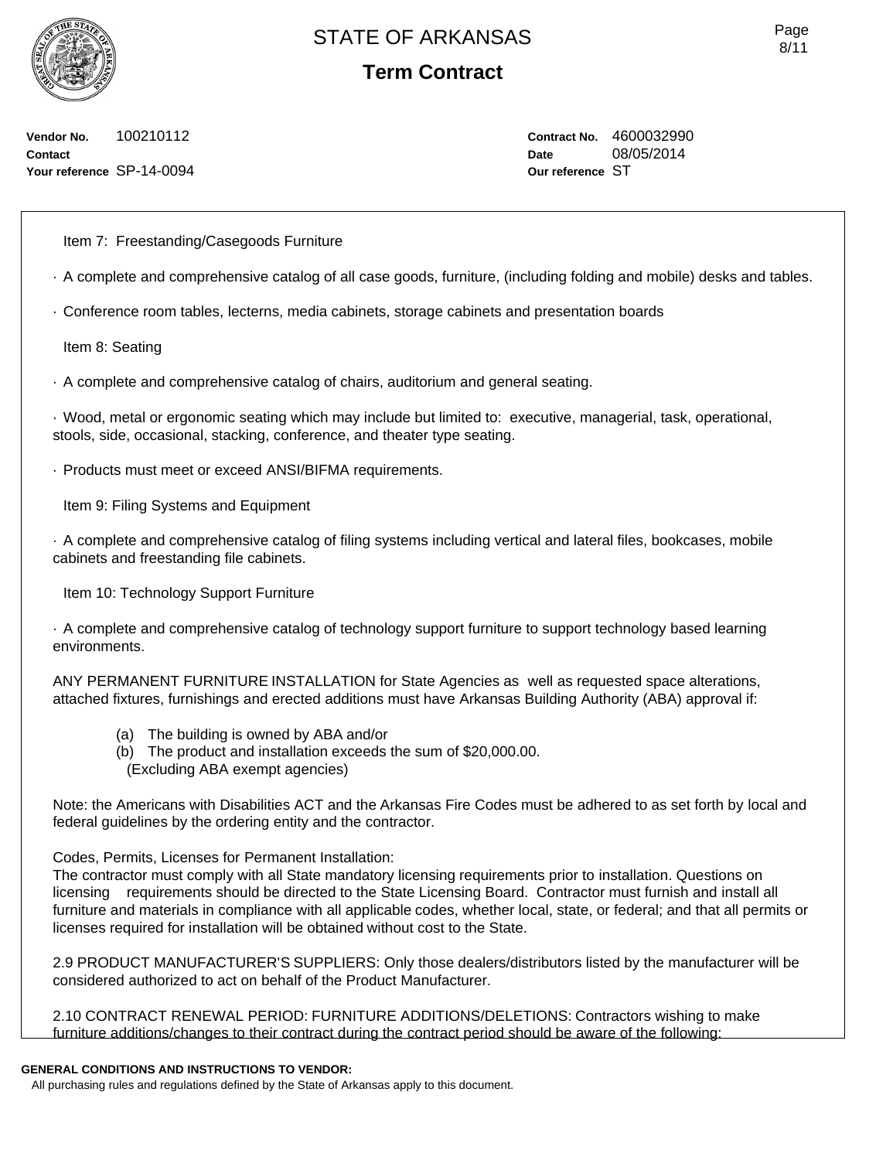**Term Contract**

**Vendor No.** 100210112 **Contact Your reference** SP-14-0094 **Contract No.** 4600032990 **Date** 08/05/2014 **Our reference** ST

Item 7: Freestanding/Casegoods Furniture

- · A complete and comprehensive catalog of all case goods, furniture, (including folding and mobile) desks and tables.
- · Conference room tables, lecterns, media cabinets, storage cabinets and presentation boards

Item 8: Seating

· A complete and comprehensive catalog of chairs, auditorium and general seating.

· Wood, metal or ergonomic seating which may include but limited to: executive, managerial, task, operational, stools, side, occasional, stacking, conference, and theater type seating.

· Products must meet or exceed ANSI/BIFMA requirements.

Item 9: Filing Systems and Equipment

· A complete and comprehensive catalog of filing systems including vertical and lateral files, bookcases, mobile cabinets and freestanding file cabinets.

Item 10: Technology Support Furniture

· A complete and comprehensive catalog of technology support furniture to support technology based learning environments.

ANY PERMANENT FURNITURE INSTALLATION for State Agencies as well as requested space alterations, attached fixtures, furnishings and erected additions must have Arkansas Building Authority (ABA) approval if:

- (a) The building is owned by ABA and/or
- (b) The product and installation exceeds the sum of \$20,000.00. (Excluding ABA exempt agencies)

Note: the Americans with Disabilities ACT and the Arkansas Fire Codes must be adhered to as set forth by local and federal guidelines by the ordering entity and the contractor.

Codes, Permits, Licenses for Permanent Installation:

The contractor must comply with all State mandatory licensing requirements prior to installation. Questions on licensing requirements should be directed to the State Licensing Board. Contractor must furnish and install all furniture and materials in compliance with all applicable codes, whether local, state, or federal; and that all permits or licenses required for installation will be obtained without cost to the State.

2.9 PRODUCT MANUFACTURER'S SUPPLIERS: Only those dealers/distributors listed by the manufacturer will be considered authorized to act on behalf of the Product Manufacturer.

2.10 CONTRACT RENEWAL PERIOD: FURNITURE ADDITIONS/DELETIONS: Contractors wishing to make furniture additions/changes to their contract during the contract period should be aware of the following:

### **GENERAL CONDITIONS AND INSTRUCTIONS TO VENDOR:**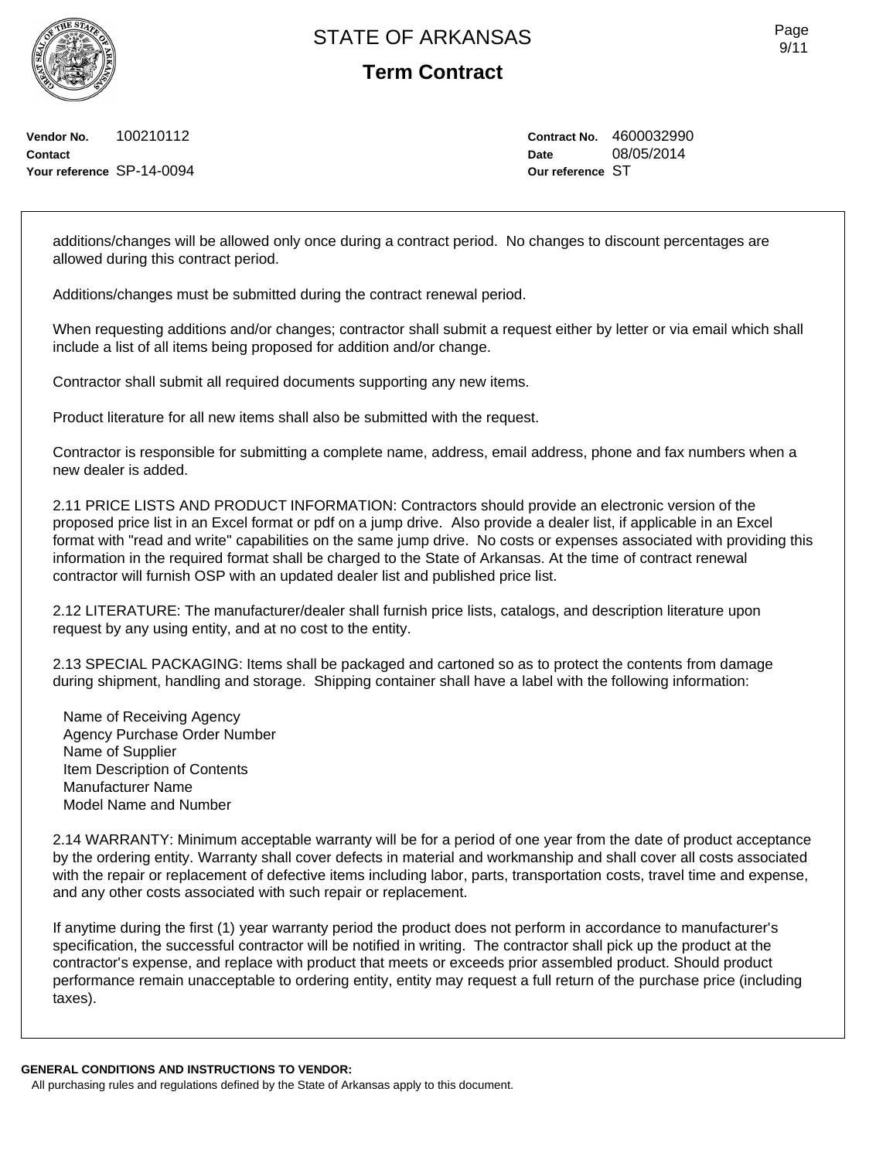**Term Contract**

**Vendor No.** 100210112 **Contact Your reference** SP-14-0094 **Contract No.** 4600032990 **Date** 08/05/2014 **Our reference** ST

additions/changes will be allowed only once during a contract period. No changes to discount percentages are allowed during this contract period.

Additions/changes must be submitted during the contract renewal period.

When requesting additions and/or changes; contractor shall submit a request either by letter or via email which shall include a list of all items being proposed for addition and/or change.

Contractor shall submit all required documents supporting any new items.

Product literature for all new items shall also be submitted with the request.

Contractor is responsible for submitting a complete name, address, email address, phone and fax numbers when a new dealer is added.

2.11 PRICE LISTS AND PRODUCT INFORMATION: Contractors should provide an electronic version of the proposed price list in an Excel format or pdf on a jump drive. Also provide a dealer list, if applicable in an Excel format with "read and write" capabilities on the same jump drive. No costs or expenses associated with providing this information in the required format shall be charged to the State of Arkansas. At the time of contract renewal contractor will furnish OSP with an updated dealer list and published price list.

2.12 LITERATURE: The manufacturer/dealer shall furnish price lists, catalogs, and description literature upon request by any using entity, and at no cost to the entity.

2.13 SPECIAL PACKAGING: Items shall be packaged and cartoned so as to protect the contents from damage during shipment, handling and storage. Shipping container shall have a label with the following information:

Name of Receiving Agency Agency Purchase Order Number Name of Supplier Item Description of Contents Manufacturer Name Model Name and Number

2.14 WARRANTY: Minimum acceptable warranty will be for a period of one year from the date of product acceptance by the ordering entity. Warranty shall cover defects in material and workmanship and shall cover all costs associated with the repair or replacement of defective items including labor, parts, transportation costs, travel time and expense, and any other costs associated with such repair or replacement.

If anytime during the first (1) year warranty period the product does not perform in accordance to manufacturer's specification, the successful contractor will be notified in writing. The contractor shall pick up the product at the contractor's expense, and replace with product that meets or exceeds prior assembled product. Should product performance remain unacceptable to ordering entity, entity may request a full return of the purchase price (including taxes).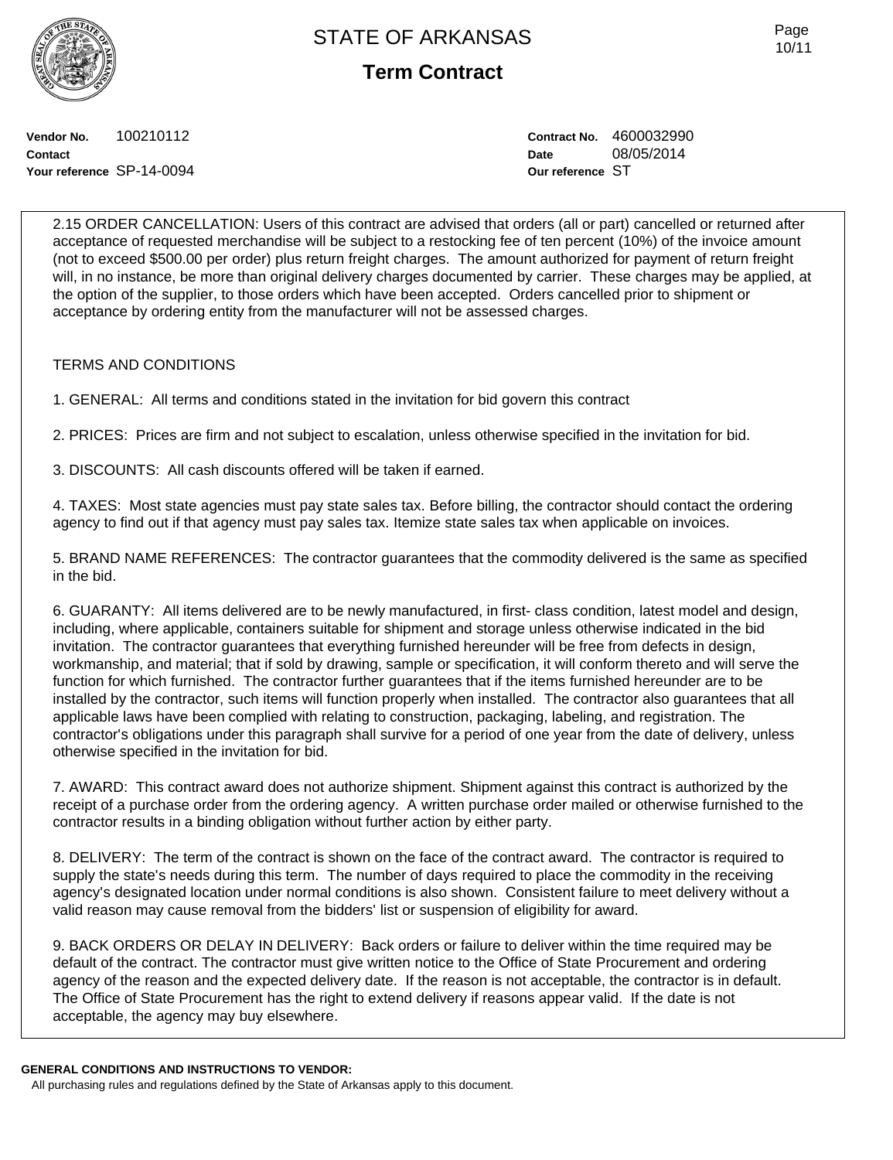**Term Contract**

Page 10/11

**Vendor No.** 100210112 **Contact Your reference** SP-14-0094 **Contract No.** 4600032990 **Date** 08/05/2014 **Our reference** ST

2.15 ORDER CANCELLATION: Users of this contract are advised that orders (all or part) cancelled or returned after acceptance of requested merchandise will be subject to a restocking fee of ten percent (10%) of the invoice amount (not to exceed \$500.00 per order) plus return freight charges. The amount authorized for payment of return freight will, in no instance, be more than original delivery charges documented by carrier. These charges may be applied, at the option of the supplier, to those orders which have been accepted. Orders cancelled prior to shipment or acceptance by ordering entity from the manufacturer will not be assessed charges.

### TERMS AND CONDITIONS

1. GENERAL: All terms and conditions stated in the invitation for bid govern this contract

2. PRICES: Prices are firm and not subject to escalation, unless otherwise specified in the invitation for bid.

3. DISCOUNTS: All cash discounts offered will be taken if earned.

4. TAXES: Most state agencies must pay state sales tax. Before billing, the contractor should contact the ordering agency to find out if that agency must pay sales tax. Itemize state sales tax when applicable on invoices.

5. BRAND NAME REFERENCES: The contractor guarantees that the commodity delivered is the same as specified in the bid.

6. GUARANTY: All items delivered are to be newly manufactured, in first- class condition, latest model and design, including, where applicable, containers suitable for shipment and storage unless otherwise indicated in the bid invitation. The contractor guarantees that everything furnished hereunder will be free from defects in design, workmanship, and material; that if sold by drawing, sample or specification, it will conform thereto and will serve the function for which furnished. The contractor further guarantees that if the items furnished hereunder are to be installed by the contractor, such items will function properly when installed. The contractor also guarantees that all applicable laws have been complied with relating to construction, packaging, labeling, and registration. The contractor's obligations under this paragraph shall survive for a period of one year from the date of delivery, unless otherwise specified in the invitation for bid.

7. AWARD: This contract award does not authorize shipment. Shipment against this contract is authorized by the receipt of a purchase order from the ordering agency. A written purchase order mailed or otherwise furnished to the contractor results in a binding obligation without further action by either party.

8. DELIVERY: The term of the contract is shown on the face of the contract award. The contractor is required to supply the state's needs during this term. The number of days required to place the commodity in the receiving agency's designated location under normal conditions is also shown. Consistent failure to meet delivery without a valid reason may cause removal from the bidders' list or suspension of eligibility for award.

9. BACK ORDERS OR DELAY IN DELIVERY: Back orders or failure to deliver within the time required may be default of the contract. The contractor must give written notice to the Office of State Procurement and ordering agency of the reason and the expected delivery date. If the reason is not acceptable, the contractor is in default. The Office of State Procurement has the right to extend delivery if reasons appear valid. If the date is not acceptable, the agency may buy elsewhere.